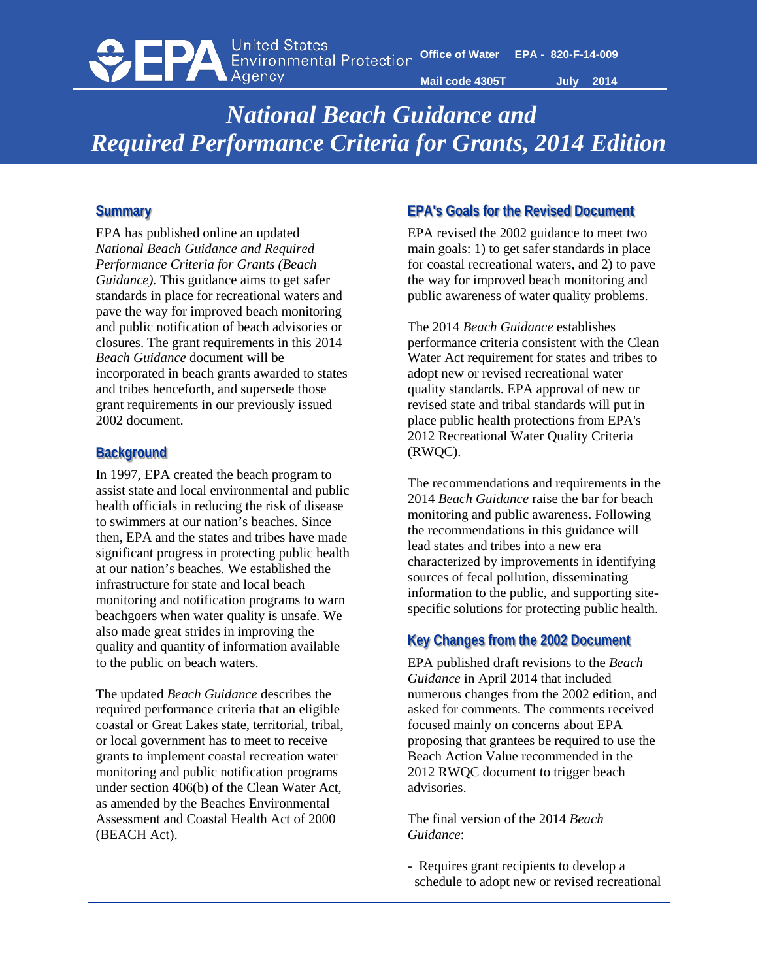

# *National Beach Guidance and Required Performance Criteria for Grants, 2014 Edition*

#### **Summary**

EPA has published online an updated *National Beach Guidance and Required Performance Criteria for Grants (Beach Guidance).* This guidance aims to get safer standards in place for recreational waters and pave the way for improved beach monitoring and public notification of beach advisories or closures. The grant requirements in this 2014 *Beach Guidance* document will be incorporated in beach grants awarded to states and tribes henceforth, and supersede those grant requirements in our previously issued 2002 document.

#### **Background**

In 1997, EPA created the beach program to assist state and local environmental and public health officials in reducing the risk of disease to swimmers at our nation's beaches. Since then, EPA and the states and tribes have made significant progress in protecting public health at our nation's beaches. We established the infrastructure for state and local beach monitoring and notification programs to warn beachgoers when water quality is unsafe. We also made great strides in improving the quality and quantity of information available to the public on beach waters.

The updated *Beach Guidance* describes the required performance criteria that an eligible coastal or Great Lakes state, territorial, tribal, or local government has to meet to receive grants to implement coastal recreation water monitoring and public notification programs under section 406(b) of the Clean Water Act, as amended by the Beaches Environmental Assessment and Coastal Health Act of 2000 (BEACH Act).

#### **EPA's Goals for the Revised Document**

EPA revised the 2002 guidance to meet two main goals: 1) to get safer standards in place for coastal recreational waters, and 2) to pave the way for improved beach monitoring and public awareness of water quality problems.

The 2014 *Beach Guidance* establishes performance criteria consistent with the Clean Water Act requirement for states and tribes to adopt new or revised recreational water quality standards. EPA approval of new or revised state and tribal standards will put in place public health protections from EPA's 2012 Recreational Water Quality Criteria (RWQC).

The recommendations and requirements in the 2014 *Beach Guidance* raise the bar for beach monitoring and public awareness. Following the recommendations in this guidance will lead states and tribes into a new era characterized by improvements in identifying sources of fecal pollution, disseminating information to the public, and supporting sitespecific solutions for protecting public health.

#### **Key Changes from the 2002 Document**

EPA published draft revisions to the *Beach Guidance* in April 2014 that included numerous changes from the 2002 edition, and asked for comments. The comments received focused mainly on concerns about EPA proposing that grantees be required to use the Beach Action Value recommended in the 2012 RWQC document to trigger beach advisories.

The final version of the 2014 *Beach Guidance*:

- Requires grant recipients to develop a schedule to adopt new or revised recreational